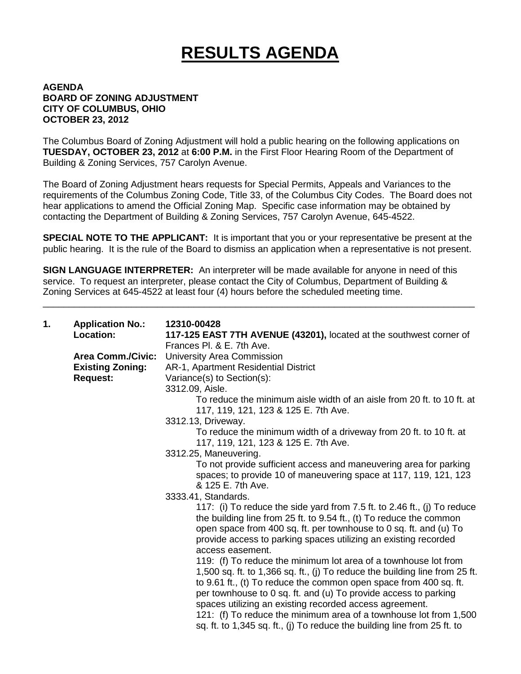## **RESULTS AGENDA**

## **AGENDA BOARD OF ZONING ADJUSTMENT CITY OF COLUMBUS, OHIO OCTOBER 23, 2012**

The Columbus Board of Zoning Adjustment will hold a public hearing on the following applications on **TUESDAY, OCTOBER 23, 2012** at **6:00 P.M.** in the First Floor Hearing Room of the Department of Building & Zoning Services, 757 Carolyn Avenue.

The Board of Zoning Adjustment hears requests for Special Permits, Appeals and Variances to the requirements of the Columbus Zoning Code, Title 33, of the Columbus City Codes. The Board does not hear applications to amend the Official Zoning Map. Specific case information may be obtained by contacting the Department of Building & Zoning Services, 757 Carolyn Avenue, 645-4522.

**SPECIAL NOTE TO THE APPLICANT:** It is important that you or your representative be present at the public hearing. It is the rule of the Board to dismiss an application when a representative is not present.

**SIGN LANGUAGE INTERPRETER:** An interpreter will be made available for anyone in need of this service. To request an interpreter, please contact the City of Columbus, Department of Building & Zoning Services at 645-4522 at least four (4) hours before the scheduled meeting time.

\_\_\_\_\_\_\_\_\_\_\_\_\_\_\_\_\_\_\_\_\_\_\_\_\_\_\_\_\_\_\_\_\_\_\_\_\_\_\_\_\_\_\_\_\_\_\_\_\_\_\_\_\_\_\_\_\_\_\_\_\_\_\_\_\_\_\_\_\_\_\_\_\_\_\_\_\_\_\_\_\_\_\_

| 1. | <b>Application No.:</b>  | 12310-00428                                                                                                                                                                                                                                                                                                                                                                                                            |
|----|--------------------------|------------------------------------------------------------------------------------------------------------------------------------------------------------------------------------------------------------------------------------------------------------------------------------------------------------------------------------------------------------------------------------------------------------------------|
|    | Location:                | 117-125 EAST 7TH AVENUE (43201), located at the southwest corner of                                                                                                                                                                                                                                                                                                                                                    |
|    |                          | Frances PI, & E. 7th Ave.                                                                                                                                                                                                                                                                                                                                                                                              |
|    | <b>Area Comm./Civic:</b> | University Area Commission                                                                                                                                                                                                                                                                                                                                                                                             |
|    | <b>Existing Zoning:</b>  | AR-1, Apartment Residential District                                                                                                                                                                                                                                                                                                                                                                                   |
|    | <b>Request:</b>          | Variance(s) to Section(s):                                                                                                                                                                                                                                                                                                                                                                                             |
|    |                          | 3312.09, Aisle.                                                                                                                                                                                                                                                                                                                                                                                                        |
|    |                          | To reduce the minimum aisle width of an aisle from 20 ft. to 10 ft. at<br>117, 119, 121, 123 & 125 E. 7th Ave.                                                                                                                                                                                                                                                                                                         |
|    |                          | 3312.13, Driveway.                                                                                                                                                                                                                                                                                                                                                                                                     |
|    |                          | To reduce the minimum width of a driveway from 20 ft. to 10 ft. at<br>117, 119, 121, 123 & 125 E. 7th Ave.                                                                                                                                                                                                                                                                                                             |
|    |                          | 3312.25, Maneuvering.                                                                                                                                                                                                                                                                                                                                                                                                  |
|    |                          | To not provide sufficient access and maneuvering area for parking<br>spaces; to provide 10 of maneuvering space at 117, 119, 121, 123<br>& 125 E. 7th Ave.                                                                                                                                                                                                                                                             |
|    |                          | 3333.41, Standards.                                                                                                                                                                                                                                                                                                                                                                                                    |
|    |                          | 117: (i) To reduce the side yard from 7.5 ft. to 2.46 ft., (j) To reduce                                                                                                                                                                                                                                                                                                                                               |
|    |                          | the building line from 25 ft. to 9.54 ft., (t) To reduce the common                                                                                                                                                                                                                                                                                                                                                    |
|    |                          | open space from 400 sq. ft. per townhouse to 0 sq. ft. and (u) To<br>provide access to parking spaces utilizing an existing recorded                                                                                                                                                                                                                                                                                   |
|    |                          | access easement.                                                                                                                                                                                                                                                                                                                                                                                                       |
|    |                          | 119: (f) To reduce the minimum lot area of a townhouse lot from<br>1,500 sq. ft. to 1,366 sq. ft., (j) To reduce the building line from 25 ft.<br>to 9.61 ft., (t) To reduce the common open space from 400 sq. ft.<br>per townhouse to 0 sq. ft. and (u) To provide access to parking<br>spaces utilizing an existing recorded access agreement.<br>121: (f) To reduce the minimum area of a townhouse lot from 1,500 |
|    |                          | sq. ft. to 1,345 sq. ft., (j) To reduce the building line from 25 ft. to                                                                                                                                                                                                                                                                                                                                               |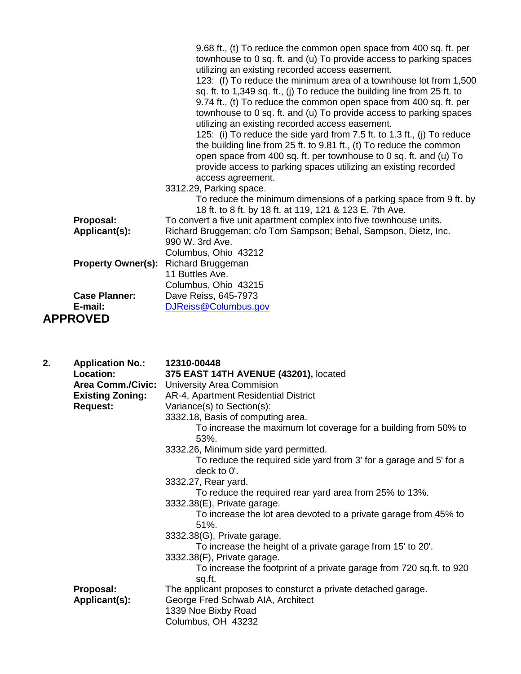|                           | 9.68 ft., (t) To reduce the common open space from 400 sq. ft. per<br>townhouse to 0 sq. ft. and (u) To provide access to parking spaces<br>utilizing an existing recorded access easement.<br>123: (f) To reduce the minimum area of a townhouse lot from 1,500<br>sq. ft. to 1,349 sq. ft., (i) To reduce the building line from 25 ft. to<br>9.74 ft., (t) To reduce the common open space from 400 sq. ft. per<br>townhouse to 0 sq. ft. and (u) To provide access to parking spaces<br>utilizing an existing recorded access easement.<br>125: (i) To reduce the side yard from 7.5 ft. to 1.3 ft., (j) To reduce<br>the building line from 25 ft. to 9.81 ft., (t) To reduce the common<br>open space from 400 sq. ft. per townhouse to 0 sq. ft. and (u) To |
|---------------------------|--------------------------------------------------------------------------------------------------------------------------------------------------------------------------------------------------------------------------------------------------------------------------------------------------------------------------------------------------------------------------------------------------------------------------------------------------------------------------------------------------------------------------------------------------------------------------------------------------------------------------------------------------------------------------------------------------------------------------------------------------------------------|
|                           | provide access to parking spaces utilizing an existing recorded<br>access agreement.<br>3312.29, Parking space.                                                                                                                                                                                                                                                                                                                                                                                                                                                                                                                                                                                                                                                    |
|                           | To reduce the minimum dimensions of a parking space from 9 ft. by<br>18 ft. to 8 ft. by 18 ft. at 119, 121 & 123 E. 7th Ave.                                                                                                                                                                                                                                                                                                                                                                                                                                                                                                                                                                                                                                       |
| Proposal:                 | To convert a five unit apartment complex into five townhouse units.                                                                                                                                                                                                                                                                                                                                                                                                                                                                                                                                                                                                                                                                                                |
| Applicant(s):             | Richard Bruggeman; c/o Tom Sampson; Behal, Sampson, Dietz, Inc.                                                                                                                                                                                                                                                                                                                                                                                                                                                                                                                                                                                                                                                                                                    |
|                           | 990 W. 3rd Ave.                                                                                                                                                                                                                                                                                                                                                                                                                                                                                                                                                                                                                                                                                                                                                    |
|                           | Columbus, Ohio 43212                                                                                                                                                                                                                                                                                                                                                                                                                                                                                                                                                                                                                                                                                                                                               |
| <b>Property Owner(s):</b> | <b>Richard Bruggeman</b>                                                                                                                                                                                                                                                                                                                                                                                                                                                                                                                                                                                                                                                                                                                                           |
|                           | 11 Buttles Ave.                                                                                                                                                                                                                                                                                                                                                                                                                                                                                                                                                                                                                                                                                                                                                    |
| <b>Case Planner:</b>      | Columbus, Ohio 43215                                                                                                                                                                                                                                                                                                                                                                                                                                                                                                                                                                                                                                                                                                                                               |
| E-mail:                   | Dave Reiss, 645-7973<br>DJReiss@Columbus.gov                                                                                                                                                                                                                                                                                                                                                                                                                                                                                                                                                                                                                                                                                                                       |
| <b>APPROVED</b>           |                                                                                                                                                                                                                                                                                                                                                                                                                                                                                                                                                                                                                                                                                                                                                                    |

| 2. | <b>Application No.:</b><br>Location:<br><b>Area Comm./Civic:</b><br><b>Existing Zoning:</b><br><b>Request:</b> | 12310-00448<br>375 EAST 14TH AVENUE (43201), located<br><b>University Area Commision</b><br>AR-4, Apartment Residential District<br>Variance(s) to Section(s):<br>3332.18, Basis of computing area.<br>To increase the maximum lot coverage for a building from 50% to<br>53%.<br>3332.26, Minimum side yard permitted.<br>To reduce the required side yard from 3' for a garage and 5' for a<br>deck to 0'.<br>3332.27, Rear yard.<br>To reduce the required rear yard area from 25% to 13%.<br>3332.38(E), Private garage.<br>To increase the lot area devoted to a private garage from 45% to<br>51%. |
|----|----------------------------------------------------------------------------------------------------------------|----------------------------------------------------------------------------------------------------------------------------------------------------------------------------------------------------------------------------------------------------------------------------------------------------------------------------------------------------------------------------------------------------------------------------------------------------------------------------------------------------------------------------------------------------------------------------------------------------------|
|    | Proposal:<br>Applicant(s):                                                                                     | 3332.38(G), Private garage.<br>To increase the height of a private garage from 15' to 20'.<br>3332.38(F), Private garage.<br>To increase the footprint of a private garage from 720 sq.ft. to 920<br>sq.ft.<br>The applicant proposes to consturct a private detached garage.<br>George Fred Schwab AIA, Architect<br>1339 Noe Bixby Road<br>Columbus, OH 43232                                                                                                                                                                                                                                          |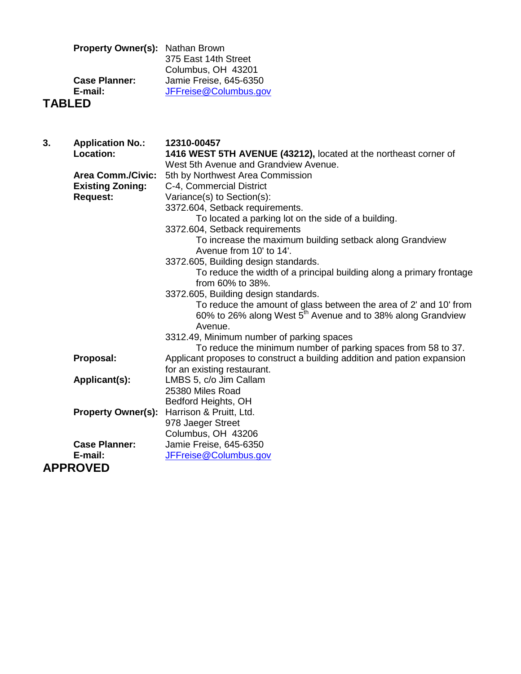| <b>Property Owner(s): Nathan Brown</b> |                        |
|----------------------------------------|------------------------|
|                                        | 375 East 14th Street   |
|                                        | Columbus, OH 43201     |
| <b>Case Planner:</b>                   | Jamie Freise, 645-6350 |
| E-mail:                                | JFFreise@Columbus.gov  |
| <b>TABLED</b>                          |                        |

| 3. | <b>Application No.:</b>   | 12310-00457                                                              |
|----|---------------------------|--------------------------------------------------------------------------|
|    | Location:                 | 1416 WEST 5TH AVENUE (43212), located at the northeast corner of         |
|    |                           | West 5th Avenue and Grandview Avenue.                                    |
|    | <b>Area Comm./Civic:</b>  | 5th by Northwest Area Commission                                         |
|    | <b>Existing Zoning:</b>   | C-4, Commercial District                                                 |
|    | <b>Request:</b>           | Variance(s) to Section(s):                                               |
|    |                           | 3372.604, Setback requirements.                                          |
|    |                           | To located a parking lot on the side of a building.                      |
|    |                           | 3372.604, Setback requirements                                           |
|    |                           | To increase the maximum building setback along Grandview                 |
|    |                           | Avenue from 10' to 14'.                                                  |
|    |                           | 3372.605, Building design standards.                                     |
|    |                           | To reduce the width of a principal building along a primary frontage     |
|    |                           | from 60% to 38%.                                                         |
|    |                           | 3372.605, Building design standards.                                     |
|    |                           | To reduce the amount of glass between the area of 2' and 10' from        |
|    |                           | 60% to 26% along West 5 <sup>th</sup> Avenue and to 38% along Grandview  |
|    |                           | Avenue.                                                                  |
|    |                           | 3312.49, Minimum number of parking spaces                                |
|    |                           | To reduce the minimum number of parking spaces from 58 to 37.            |
|    | Proposal:                 | Applicant proposes to construct a building addition and pation expansion |
|    |                           | for an existing restaurant.                                              |
|    | Applicant(s):             | LMBS 5, c/o Jim Callam                                                   |
|    |                           | 25380 Miles Road                                                         |
|    |                           | Bedford Heights, OH                                                      |
|    | <b>Property Owner(s):</b> | Harrison & Pruitt, Ltd.                                                  |
|    |                           | 978 Jaeger Street                                                        |
|    |                           | Columbus, OH 43206                                                       |
|    | <b>Case Planner:</b>      | Jamie Freise, 645-6350                                                   |
|    | E-mail:                   | JFFreise@Columbus.gov                                                    |
|    | <b>APPROVED</b>           |                                                                          |
|    |                           |                                                                          |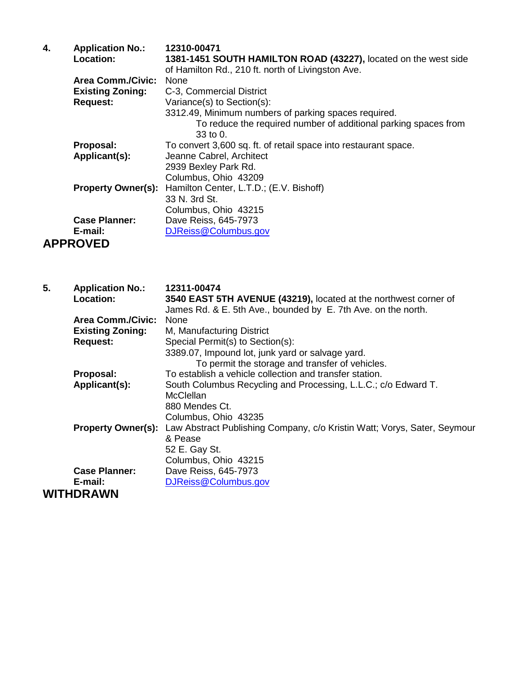| 4. | <b>Application No.:</b>   | 12310-00471                                                     |
|----|---------------------------|-----------------------------------------------------------------|
|    | <b>Location:</b>          | 1381-1451 SOUTH HAMILTON ROAD (43227), located on the west side |
|    |                           | of Hamilton Rd., 210 ft. north of Livingston Ave.               |
|    | <b>Area Comm./Civic:</b>  | None                                                            |
|    | <b>Existing Zoning:</b>   | C-3, Commercial District                                        |
|    | <b>Request:</b>           | Variance(s) to Section(s):                                      |
|    |                           | 3312.49, Minimum numbers of parking spaces required.            |
|    |                           | To reduce the required number of additional parking spaces from |
|    |                           | 33 to $0.$                                                      |
|    | Proposal:                 | To convert 3,600 sq. ft. of retail space into restaurant space. |
|    | Applicant(s):             | Jeanne Cabrel, Architect                                        |
|    |                           | 2939 Bexley Park Rd.                                            |
|    |                           | Columbus, Ohio 43209                                            |
|    | <b>Property Owner(s):</b> | Hamilton Center, L.T.D.; (E.V. Bishoff)                         |
|    |                           | 33 N. 3rd St.                                                   |
|    |                           | Columbus, Ohio 43215                                            |
|    | <b>Case Planner:</b>      | Dave Reiss, 645-7973                                            |
|    | E-mail:                   | DJReiss@Columbus.gov                                            |
|    | <b>APPROVED</b>           |                                                                 |

| 5. | <b>Application No.:</b><br><b>Location:</b> | 12311-00474<br>3540 EAST 5TH AVENUE (43219), located at the northwest corner of |
|----|---------------------------------------------|---------------------------------------------------------------------------------|
|    |                                             | James Rd. & E. 5th Ave., bounded by E. 7th Ave. on the north.                   |
|    | <b>Area Comm./Civic:</b>                    | None                                                                            |
|    | <b>Existing Zoning:</b>                     | M, Manufacturing District                                                       |
|    | <b>Request:</b>                             | Special Permit(s) to Section(s):                                                |
|    |                                             | 3389.07, Impound lot, junk yard or salvage yard.                                |
|    |                                             | To permit the storage and transfer of vehicles.                                 |
|    | Proposal:                                   | To establish a vehicle collection and transfer station.                         |
|    | Applicant(s):                               | South Columbus Recycling and Processing, L.L.C.; c/o Edward T.                  |
|    |                                             | <b>McClellan</b>                                                                |
|    |                                             | 880 Mendes Ct.                                                                  |
|    |                                             | Columbus, Ohio 43235                                                            |
|    | <b>Property Owner(s):</b>                   | Law Abstract Publishing Company, c/o Kristin Watt; Vorys, Sater, Seymour        |
|    |                                             | & Pease                                                                         |
|    |                                             | 52 E. Gay St.                                                                   |
|    |                                             | Columbus, Ohio 43215                                                            |
|    | <b>Case Planner:</b>                        | Dave Reiss, 645-7973                                                            |
|    | E-mail:                                     | DJReiss@Columbus.gov                                                            |
|    | <b>WITHDRAWN</b>                            |                                                                                 |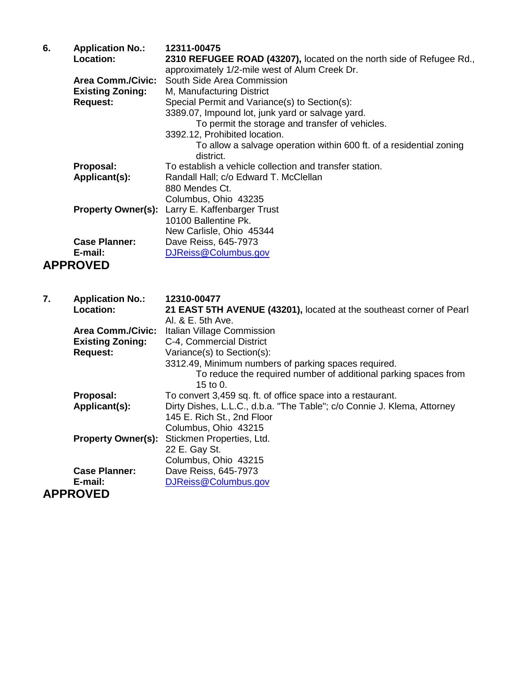| 6. | <b>Application No.:</b><br>Location:                | 12311-00475<br>2310 REFUGEE ROAD (43207), located on the north side of Refugee Rd.,<br>approximately 1/2-mile west of Alum Creek Dr. |
|----|-----------------------------------------------------|--------------------------------------------------------------------------------------------------------------------------------------|
|    | <b>Area Comm./Civic:</b><br><b>Existing Zoning:</b> | South Side Area Commission<br>M, Manufacturing District                                                                              |
|    | <b>Request:</b>                                     | Special Permit and Variance(s) to Section(s):<br>3389.07, Impound lot, junk yard or salvage yard.                                    |
|    |                                                     | To permit the storage and transfer of vehicles.                                                                                      |
|    |                                                     | 3392.12, Prohibited location.<br>To allow a salvage operation within 600 ft. of a residential zoning<br>district.                    |
|    | Proposal:                                           | To establish a vehicle collection and transfer station.                                                                              |
|    | Applicant(s):                                       | Randall Hall; c/o Edward T. McClellan<br>880 Mendes Ct.                                                                              |
|    |                                                     | Columbus, Ohio 43235                                                                                                                 |
|    |                                                     | <b>Property Owner(s):</b> Larry E. Kaffenbarger Trust                                                                                |
|    |                                                     | 10100 Ballentine Pk.<br>New Carlisle, Ohio 45344                                                                                     |
|    | <b>Case Planner:</b>                                | Dave Reiss, 645-7973                                                                                                                 |
|    | E-mail:                                             | DJReiss@Columbus.gov                                                                                                                 |
|    | <b>APPROVED</b>                                     |                                                                                                                                      |
|    |                                                     |                                                                                                                                      |
| 7. | <b>Application No.:</b>                             | 12310-00477                                                                                                                          |
|    | Location:                                           | 21 EAST 5TH AVENUE (43201), located at the southeast corner of Pearl                                                                 |
|    | <b>Area Comm./Civic:</b>                            | Al. & E. 5th Ave.<br>Italian Village Commission                                                                                      |
|    | <b>Existing Zoning:</b>                             | C-4, Commercial District                                                                                                             |
|    | <b>Request:</b>                                     | Variance(s) to Section(s):                                                                                                           |
|    |                                                     | 3312.49, Minimum numbers of parking spaces required.<br>To reduce the required number of additional parking spaces from<br>15 to 0.  |
|    | Proposal:                                           | To convert 3,459 sq. ft. of office space into a restaurant.                                                                          |
|    | Applicant(s):                                       | Dirty Dishes, L.L.C., d.b.a. "The Table"; c/o Connie J. Klema, Attorney<br>145 E. Rich St., 2nd Floor                                |
|    | <b>Property Owner(s):</b>                           | Columbus, Ohio 43215<br>Stickmen Properties, Ltd.                                                                                    |
|    |                                                     | 22 E. Gay St.                                                                                                                        |
|    |                                                     | Columbus, Ohio 43215                                                                                                                 |
|    | <b>Case Planner:</b><br>E-mail:                     | Dave Reiss, 645-7973<br>DJReiss@Columbus.gov                                                                                         |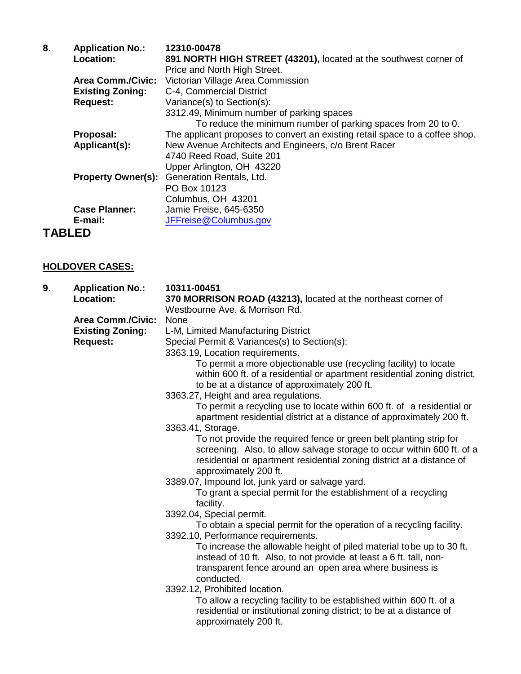| 8.            | <b>Application No.:</b>  | 12310-00478                                                                  |
|---------------|--------------------------|------------------------------------------------------------------------------|
|               | Location:                | 891 NORTH HIGH STREET (43201), located at the southwest corner of            |
|               |                          | Price and North High Street.                                                 |
|               | <b>Area Comm./Civic:</b> | Victorian Village Area Commission                                            |
|               | <b>Existing Zoning:</b>  | C-4, Commercial District                                                     |
|               | <b>Request:</b>          | Variance(s) to Section(s):                                                   |
|               |                          | 3312.49, Minimum number of parking spaces                                    |
|               |                          | To reduce the minimum number of parking spaces from 20 to 0.                 |
|               | Proposal:                | The applicant proposes to convert an existing retail space to a coffee shop. |
|               | Applicant(s):            | New Avenue Architects and Engineers, c/o Brent Racer                         |
|               |                          | 4740 Reed Road, Suite 201                                                    |
|               |                          | Upper Arlington, OH 43220                                                    |
|               |                          | Property Owner(s): Generation Rentals, Ltd.                                  |
|               |                          | PO Box 10123                                                                 |
|               |                          | Columbus, OH 43201                                                           |
|               | <b>Case Planner:</b>     | Jamie Freise, 645-6350                                                       |
|               | E-mail:                  | JFFreise@Columbus.gov                                                        |
| <b>TABLED</b> |                          |                                                                              |

## **HOLDOVER CASES:**

| 9. | <b>Application No.:</b><br>Location: | 10311-00451<br>370 MORRISON ROAD (43213), located at the northeast corner of<br>Westbourne Ave, & Morrison Rd.                                                           |
|----|--------------------------------------|--------------------------------------------------------------------------------------------------------------------------------------------------------------------------|
|    | <b>Area Comm./Civic:</b>             | None                                                                                                                                                                     |
|    | <b>Existing Zoning:</b>              | L-M, Limited Manufacturing District                                                                                                                                      |
|    | <b>Request:</b>                      | Special Permit & Variances(s) to Section(s):                                                                                                                             |
|    |                                      | 3363.19, Location requirements.                                                                                                                                          |
|    |                                      | To permit a more objectionable use (recycling facility) to locate                                                                                                        |
|    |                                      | within 600 ft. of a residential or apartment residential zoning district,                                                                                                |
|    |                                      | to be at a distance of approximately 200 ft.                                                                                                                             |
|    |                                      | 3363.27, Height and area regulations.                                                                                                                                    |
|    |                                      | To permit a recycling use to locate within 600 ft. of a residential or                                                                                                   |
|    |                                      | apartment residential district at a distance of approximately 200 ft.                                                                                                    |
|    |                                      | 3363.41, Storage.                                                                                                                                                        |
|    |                                      | To not provide the required fence or green belt planting strip for                                                                                                       |
|    |                                      | screening. Also, to allow salvage storage to occur within 600 ft. of a<br>residential or apartment residential zoning district at a distance of<br>approximately 200 ft. |
|    |                                      | 3389.07, Impound lot, junk yard or salvage yard.                                                                                                                         |
|    |                                      | To grant a special permit for the establishment of a recycling<br>facility.                                                                                              |
|    |                                      | 3392.04, Special permit.                                                                                                                                                 |
|    |                                      | To obtain a special permit for the operation of a recycling facility.                                                                                                    |
|    |                                      | 3392.10, Performance requirements.                                                                                                                                       |
|    |                                      | To increase the allowable height of piled material tobe up to 30 ft.                                                                                                     |
|    |                                      | instead of 10 ft. Also, to not provide at least a 6 ft. tall, non-                                                                                                       |
|    |                                      | transparent fence around an open area where business is                                                                                                                  |
|    |                                      | conducted.                                                                                                                                                               |
|    |                                      | 3392.12, Prohibited location.                                                                                                                                            |
|    |                                      | To allow a recycling facility to be established within 600 ft. of a<br>residential or institutional zoning district; to be at a distance of<br>approximately 200 ft.     |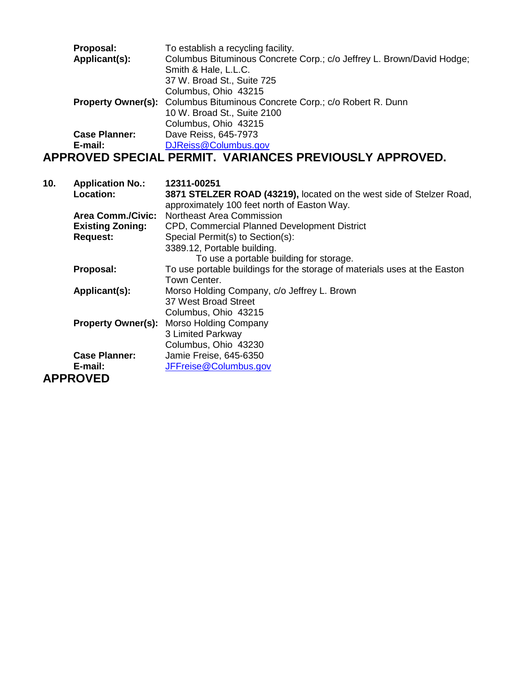| Proposal:            | To establish a recycling facility.                                               |
|----------------------|----------------------------------------------------------------------------------|
| Applicant(s):        | Columbus Bituminous Concrete Corp.; c/o Jeffrey L. Brown/David Hodge;            |
|                      | Smith & Hale, L.L.C.                                                             |
|                      | 37 W. Broad St., Suite 725                                                       |
|                      | Columbus, Ohio 43215                                                             |
|                      | <b>Property Owner(s):</b> Columbus Bituminous Concrete Corp.; c/o Robert R. Dunn |
|                      | 10 W. Broad St., Suite 2100                                                      |
|                      | Columbus, Ohio 43215                                                             |
| <b>Case Planner:</b> | Dave Reiss, 645-7973                                                             |
| E-mail:              | DJReiss@Columbus.gov                                                             |
|                      | APPROVED SPECIAL PERMIT. VARIANCES PREVIOUSLY APPROVED.                          |

| 10. | <b>Application No.:</b>  | 12311-00251                                                               |
|-----|--------------------------|---------------------------------------------------------------------------|
|     | Location:                | 3871 STELZER ROAD (43219), located on the west side of Stelzer Road,      |
|     |                          | approximately 100 feet north of Easton Way.                               |
|     | <b>Area Comm./Civic:</b> | Northeast Area Commission                                                 |
|     | <b>Existing Zoning:</b>  | CPD, Commercial Planned Development District                              |
|     | <b>Request:</b>          | Special Permit(s) to Section(s):                                          |
|     |                          | 3389.12, Portable building.                                               |
|     |                          | To use a portable building for storage.                                   |
|     | Proposal:                | To use portable buildings for the storage of materials uses at the Easton |
|     |                          | Town Center.                                                              |
|     | Applicant(s):            | Morso Holding Company, c/o Jeffrey L. Brown                               |
|     |                          | 37 West Broad Street                                                      |
|     |                          | Columbus, Ohio 43215                                                      |
|     |                          | <b>Property Owner(s): Morso Holding Company</b>                           |
|     |                          | 3 Limited Parkway                                                         |
|     |                          | Columbus, Ohio 43230                                                      |
|     | <b>Case Planner:</b>     | Jamie Freise, 645-6350                                                    |
|     | E-mail:                  | JFFreise@Columbus.gov                                                     |
|     | <b>APPROVED</b>          |                                                                           |